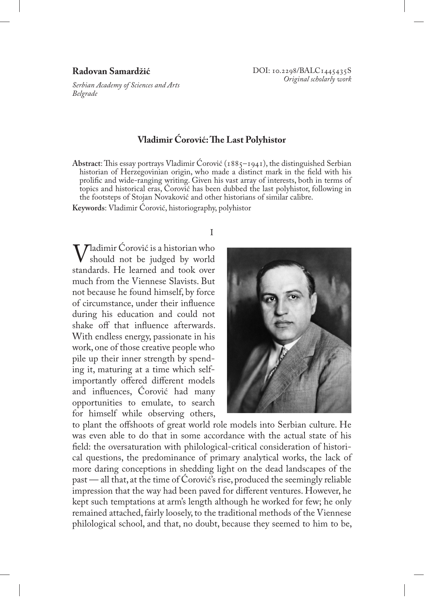# **Radovan Samardžić**

*Serbian Academy of Sciences and Arts Belgrade*

# **Vladimir Ćorović: The Last Polyhistor**

**Abstract**: This essay portrays Vladimir Ćorović (1885–1941), the distinguished Serbian historian of Herzegovinian origin, who made a distinct mark in the field with his prolific and wide-ranging writing. Given his vast array of interests, both in terms of topics and historical eras, Ćorović has been dubbed the last polyhistor, following in the footsteps of Stojan Novaković and other historians of similar calibre.

**Keywords**: Vladimir Ćorović, historiography, polyhistor

#### I

Vladimir Ćorović is a historian who should not be judged by world standards. He learned and took over much from the Viennese Slavists. But not because he found himself, by force of circumstance, under their influence during his education and could not shake off that influence afterwards. With endless energy, passionate in his work, one of those creative people who pile up their inner strength by spending it, maturing at a time which selfimportantly offered different models and influences, Ćorović had many opportunities to emulate, to search for himself while observing others,



to plant the offshoots of great world role models into Serbian culture. He was even able to do that in some accordance with the actual state of his field: the oversaturation with philological-critical consideration of historical questions, the predominance of primary analytical works, the lack of more daring conceptions in shedding light on the dead landscapes of the past — all that, at the time of Ćorović's rise, produced the seemingly reliable impression that the way had been paved for different ventures. However, he kept such temptations at arm's length although he worked for few; he only remained attached, fairly loosely, to the traditional methods of the Viennese philological school, and that, no doubt, because they seemed to him to be,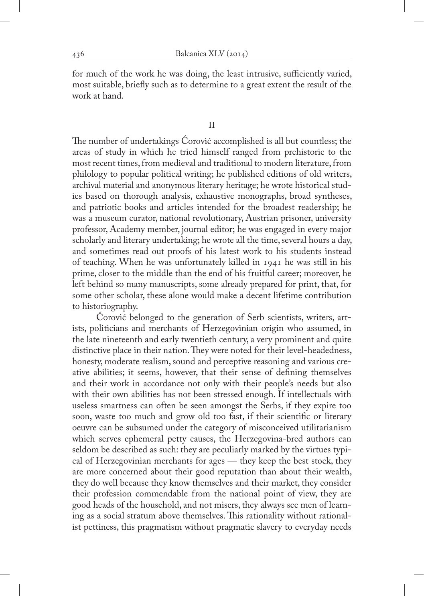for much of the work he was doing, the least intrusive, sufficiently varied, most suitable, briefly such as to determine to a great extent the result of the work at hand.

#### II

The number of undertakings Ćorović accomplished is all but countless; the areas of study in which he tried himself ranged from prehistoric to the most recent times, from medieval and traditional to modern literature, from philology to popular political writing; he published editions of old writers, archival material and anonymous literary heritage; he wrote historical studies based on thorough analysis, exhaustive monographs, broad syntheses, and patriotic books and articles intended for the broadest readership; he was a museum curator, national revolutionary, Austrian prisoner, university professor, Academy member, journal editor; he was engaged in every major scholarly and literary undertaking; he wrote all the time, several hours a day, and sometimes read out proofs of his latest work to his students instead of teaching. When he was unfortunately killed in 1941 he was still in his prime, closer to the middle than the end of his fruitful career; moreover, he left behind so many manuscripts, some already prepared for print, that, for some other scholar, these alone would make a decent lifetime contribution to historiography.

Corović belonged to the generation of Serb scientists, writers, artists, politicians and merchants of Herzegovinian origin who assumed, in the late nineteenth and early twentieth century, a very prominent and quite distinctive place in their nation. They were noted for their level-headedness, honesty, moderate realism, sound and perceptive reasoning and various creative abilities; it seems, however, that their sense of defining themselves and their work in accordance not only with their people's needs but also with their own abilities has not been stressed enough. If intellectuals with useless smartness can often be seen amongst the Serbs, if they expire too soon, waste too much and grow old too fast, if their scientific or literary oeuvre can be subsumed under the category of misconceived utilitarianism which serves ephemeral petty causes, the Herzegovina-bred authors can seldom be described as such: they are peculiarly marked by the virtues typical of Herzegovinian merchants for ages — they keep the best stock, they are more concerned about their good reputation than about their wealth, they do well because they know themselves and their market, they consider their profession commendable from the national point of view, they are good heads of the household, and not misers, they always see men of learning as a social stratum above themselves. This rationality without rationalist pettiness, this pragmatism without pragmatic slavery to everyday needs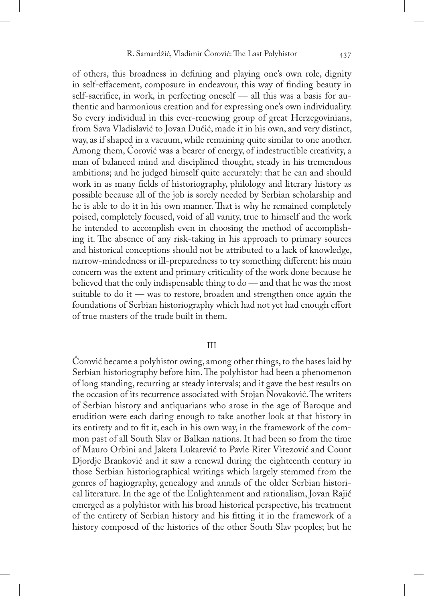of others, this broadness in defining and playing one's own role, dignity in self-effacement, composure in endeavour, this way of finding beauty in self-sacrifice, in work, in perfecting oneself — all this was a basis for authentic and harmonious creation and for expressing one's own individuality. So every individual in this ever-renewing group of great Herzegovinians, from Sava Vladislavić to Jovan Dučić, made it in his own, and very distinct, way, as if shaped in a vacuum, while remaining quite similar to one another. Among them, Ćorović was a bearer of energy, of indestructible creativity, a man of balanced mind and disciplined thought, steady in his tremendous ambitions; and he judged himself quite accurately: that he can and should work in as many fields of historiography, philology and literary history as possible because all of the job is sorely needed by Serbian scholarship and he is able to do it in his own manner. That is why he remained completely poised, completely focused, void of all vanity, true to himself and the work he intended to accomplish even in choosing the method of accomplishing it. The absence of any risk-taking in his approach to primary sources and historical conceptions should not be attributed to a lack of knowledge, narrow-mindedness or ill-preparedness to try something different: his main concern was the extent and primary criticality of the work done because he believed that the only indispensable thing to do — and that he was the most suitable to do it — was to restore, broaden and strengthen once again the foundations of Serbian historiography which had not yet had enough effort of true masters of the trade built in them.

# III

Ćorović became a polyhistor owing, among other things, to the bases laid by Serbian historiography before him. The polyhistor had been a phenomenon of long standing, recurring at steady intervals; and it gave the best results on the occasion of its recurrence associated with Stojan Novaković. The writers of Serbian history and antiquarians who arose in the age of Baroque and erudition were each daring enough to take another look at that history in its entirety and to fit it, each in his own way, in the framework of the common past of all South Slav or Balkan nations. It had been so from the time of Mauro Orbini and Jaketa Lukarević to Pavle Riter Vitezović and Count Djordje Branković and it saw a renewal during the eighteenth century in those Serbian historiographical writings which largely stemmed from the genres of hagiography, genealogy and annals of the older Serbian historical literature. In the age of the Enlightenment and rationalism, Jovan Rajić emerged as a polyhistor with his broad historical perspective, his treatment of the entirety of Serbian history and his fitting it in the framework of a history composed of the histories of the other South Slav peoples; but he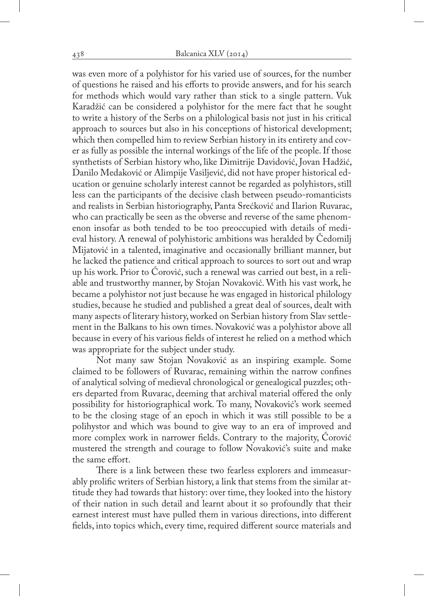was even more of a polyhistor for his varied use of sources, for the number of questions he raised and his efforts to provide answers, and for his search for methods which would vary rather than stick to a single pattern. Vuk Karadžić can be considered a polyhistor for the mere fact that he sought to write a history of the Serbs on a philological basis not just in his critical approach to sources but also in his conceptions of historical development; which then compelled him to review Serbian history in its entirety and cover as fully as possible the internal workings of the life of the people. If those synthetists of Serbian history who, like Dimitrije Davidović, Jovan Hadžić, Danilo Medaković or Alimpije Vasiljević, did not have proper historical education or genuine scholarly interest cannot be regarded as polyhistors, still less can the participants of the decisive clash between pseudo-romanticists and realists in Serbian historiography, Panta Srećković and Ilarion Ruvarac, who can practically be seen as the obverse and reverse of the same phenomenon insofar as both tended to be too preoccupied with details of medieval history. A renewal of polyhistoric ambitions was heralded by Čedomilj Mijatović in a talented, imaginative and occasionally brilliant manner, but he lacked the patience and critical approach to sources to sort out and wrap up his work. Prior to Ćorović, such a renewal was carried out best, in a reliable and trustworthy manner, by Stojan Novaković. With his vast work, he became a polyhistor not just because he was engaged in historical philology studies, because he studied and published a great deal of sources, dealt with many aspects of literary history, worked on Serbian history from Slav settlement in the Balkans to his own times. Novaković was a polyhistor above all because in every of his various fields of interest he relied on a method which was appropriate for the subject under study.

Not many saw Stojan Novaković as an inspiring example. Some claimed to be followers of Ruvarac, remaining within the narrow confines of analytical solving of medieval chronological or genealogical puzzles; others departed from Ruvarac, deeming that archival material offered the only possibility for historiographical work. To many, Novaković's work seemed to be the closing stage of an epoch in which it was still possible to be a polihystor and which was bound to give way to an era of improved and more complex work in narrower fields. Contrary to the majority, Ćorović mustered the strength and courage to follow Novaković's suite and make the same effort.

There is a link between these two fearless explorers and immeasurably prolific writers of Serbian history, a link that stems from the similar attitude they had towards that history: over time, they looked into the history of their nation in such detail and learnt about it so profoundly that their earnest interest must have pulled them in various directions, into different fields, into topics which, every time, required different source materials and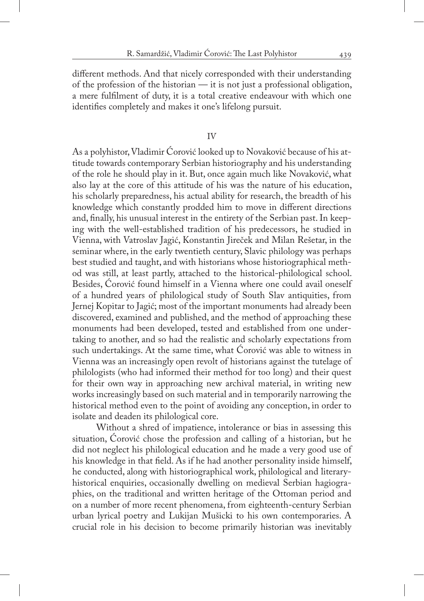different methods. And that nicely corresponded with their understanding of the profession of the historian — it is not just a professional obligation, a mere fulfilment of duty, it is a total creative endeavour with which one identifies completely and makes it one's lifelong pursuit.

# IV

As a polyhistor, Vladimir Ćorović looked up to Novaković because of his attitude towards contemporary Serbian historiography and his understanding of the role he should play in it. But, once again much like Novaković, what also lay at the core of this attitude of his was the nature of his education, his scholarly preparedness, his actual ability for research, the breadth of his knowledge which constantly prodded him to move in different directions and, finally, his unusual interest in the entirety of the Serbian past. In keeping with the well-established tradition of his predecessors, he studied in Vienna, with Vatroslav Jagić, Konstantin Jireček and Milan Rešetar, in the seminar where, in the early twentieth century, Slavic philology was perhaps best studied and taught, and with historians whose historiographical method was still, at least partly, attached to the historical-philological school. Besides, Ćorović found himself in a Vienna where one could avail oneself of a hundred years of philological study of South Slav antiquities, from Jernej Kopitar to Jagić; most of the important monuments had already been discovered, examined and published, and the method of approaching these monuments had been developed, tested and established from one undertaking to another, and so had the realistic and scholarly expectations from such undertakings. At the same time, what Ćorović was able to witness in Vienna was an increasingly open revolt of historians against the tutelage of philologists (who had informed their method for too long) and their quest for their own way in approaching new archival material, in writing new works increasingly based on such material and in temporarily narrowing the historical method even to the point of avoiding any conception, in order to isolate and deaden its philological core.

Without a shred of impatience, intolerance or bias in assessing this situation, Ćorović chose the profession and calling of a historian, but he did not neglect his philological education and he made a very good use of his knowledge in that field. As if he had another personality inside himself, he conducted, along with historiographical work, philological and literaryhistorical enquiries, occasionally dwelling on medieval Serbian hagiographies, on the traditional and written heritage of the Ottoman period and on a number of more recent phenomena, from eighteenth-century Serbian urban lyrical poetry and Lukijan Mušicki to his own contemporaries. A crucial role in his decision to become primarily historian was inevitably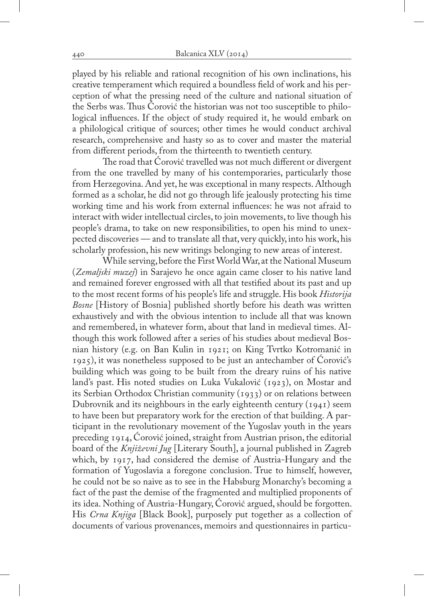played by his reliable and rational recognition of his own inclinations, his creative temperament which required a boundless field of work and his perception of what the pressing need of the culture and national situation of the Serbs was. Thus Ćorović the historian was not too susceptible to philological influences. If the object of study required it, he would embark on a philological critique of sources; other times he would conduct archival research, comprehensive and hasty so as to cover and master the material from different periods, from the thirteenth to twentieth century.

The road that Ćorović travelled was not much different or divergent from the one travelled by many of his contemporaries, particularly those from Herzegovina. And yet, he was exceptional in many respects. Although formed as a scholar, he did not go through life jealously protecting his time working time and his work from external influences: he was not afraid to interact with wider intellectual circles, to join movements, to live though his people's drama, to take on new responsibilities, to open his mind to unexpected discoveries — and to translate all that, very quickly, into his work, his scholarly profession, his new writings belonging to new areas of interest.

While serving, before the First World War, at the National Museum (*Zemaljski muzej*) in Sarajevo he once again came closer to his native land and remained forever engrossed with all that testified about its past and up to the most recent forms of his people's life and struggle. His book *Historija Bosne* [History of Bosnia] published shortly before his death was written exhaustively and with the obvious intention to include all that was known and remembered, in whatever form, about that land in medieval times. Although this work followed after a series of his studies about medieval Bosnian history (e.g. on Ban Kulin in 1921; on King Tvrtko Kotromanić in 1925), it was nonetheless supposed to be just an antechamber of Ćorović's building which was going to be built from the dreary ruins of his native land's past. His noted studies on Luka Vukalović (1923), on Mostar and its Serbian Orthodox Christian community (1933) or on relations between Dubrovnik and its neighbours in the early eighteenth century (1941) seem to have been but preparatory work for the erection of that building. A participant in the revolutionary movement of the Yugoslav youth in the years preceding 1914, Ćorović joined, straight from Austrian prison, the editorial board of the *Književni Jug* [Literary South], a journal published in Zagreb which, by 1917, had considered the demise of Austria-Hungary and the formation of Yugoslavia a foregone conclusion. True to himself, however, he could not be so naive as to see in the Habsburg Monarchy's becoming a fact of the past the demise of the fragmented and multiplied proponents of its idea. Nothing of Austria-Hungary, Ćorović argued, should be forgotten. His *Crna Knjiga* [Black Book], purposely put together as a collection of documents of various provenances, memoirs and questionnaires in particu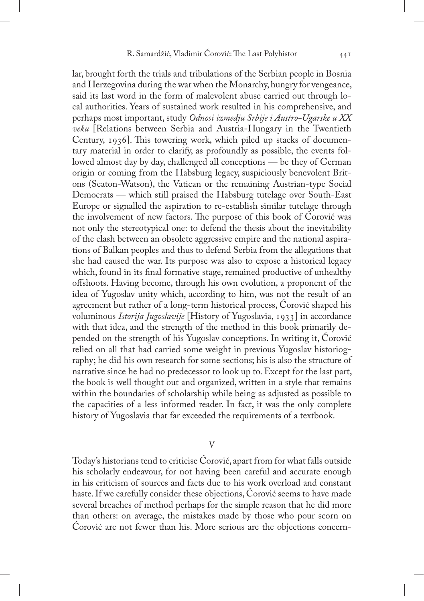lar, brought forth the trials and tribulations of the Serbian people in Bosnia and Herzegovina during the war when the Monarchy, hungry for vengeance, said its last word in the form of malevolent abuse carried out through local authorities. Years of sustained work resulted in his comprehensive, and perhaps most important, study *Odnosi izmedju Srbije i Austro-Ugarske u XX veku* [Relations between Serbia and Austria-Hungary in the Twentieth Century, 1936]. This towering work, which piled up stacks of documentary material in order to clarify, as profoundly as possible, the events followed almost day by day, challenged all conceptions — be they of German origin or coming from the Habsburg legacy, suspiciously benevolent Britons (Seaton-Watson), the Vatican or the remaining Austrian-type Social Democrats — which still praised the Habsburg tutelage over South-East Europe or signalled the aspiration to re-establish similar tutelage through the involvement of new factors. The purpose of this book of Ćorović was not only the stereotypical one: to defend the thesis about the inevitability of the clash between an obsolete aggressive empire and the national aspirations of Balkan peoples and thus to defend Serbia from the allegations that she had caused the war. Its purpose was also to expose a historical legacy which, found in its final formative stage, remained productive of unhealthy offshoots. Having become, through his own evolution, a proponent of the idea of Yugoslav unity which, according to him, was not the result of an agreement but rather of a long-term historical process, Ćorović shaped his voluminous *Istorija Jugoslavije* [History of Yugoslavia, 1933] in accordance with that idea, and the strength of the method in this book primarily depended on the strength of his Yugoslav conceptions. In writing it, Ćorović relied on all that had carried some weight in previous Yugoslav historiography; he did his own research for some sections; his is also the structure of narrative since he had no predecessor to look up to. Except for the last part, the book is well thought out and organized, written in a style that remains within the boundaries of scholarship while being as adjusted as possible to the capacities of a less informed reader. In fact, it was the only complete history of Yugoslavia that far exceeded the requirements of a textbook.

V

Today's historians tend to criticise Ćorović, apart from for what falls outside his scholarly endeavour, for not having been careful and accurate enough in his criticism of sources and facts due to his work overload and constant haste. If we carefully consider these objections, Ćorović seems to have made several breaches of method perhaps for the simple reason that he did more than others: on average, the mistakes made by those who pour scorn on Ćorović are not fewer than his. More serious are the objections concern